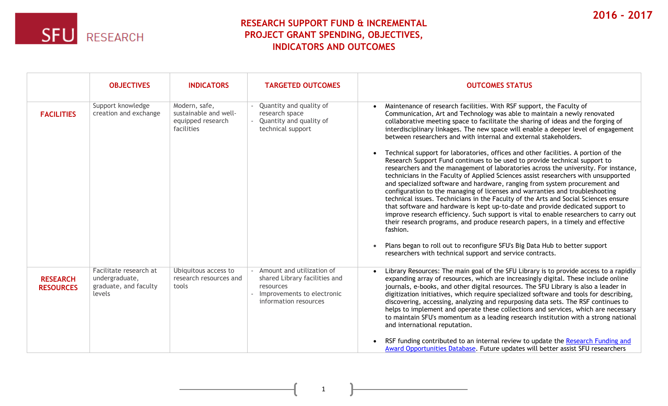

## **RESEARCH SUPPORT FUND & INCREMENTAL PROJECT GRANT SPENDING, OBJECTIVES, INDICATORS AND OUTCOMES**

|                                     | <b>OBJECTIVES</b>                                                           | <b>INDICATORS</b>                                                         | <b>TARGETED OUTCOMES</b>                                                                                                         | <b>OUTCOMES STATUS</b>                                                                                                                                                                                                                                                                                                                                                                                                                                                                                                                                                                                                                                                                                                                                                                                                                                                                                                                                                                                                                                                                                                                                                                                                                                                          |
|-------------------------------------|-----------------------------------------------------------------------------|---------------------------------------------------------------------------|----------------------------------------------------------------------------------------------------------------------------------|---------------------------------------------------------------------------------------------------------------------------------------------------------------------------------------------------------------------------------------------------------------------------------------------------------------------------------------------------------------------------------------------------------------------------------------------------------------------------------------------------------------------------------------------------------------------------------------------------------------------------------------------------------------------------------------------------------------------------------------------------------------------------------------------------------------------------------------------------------------------------------------------------------------------------------------------------------------------------------------------------------------------------------------------------------------------------------------------------------------------------------------------------------------------------------------------------------------------------------------------------------------------------------|
| <b>FACILITIES</b>                   | Support knowledge<br>creation and exchange                                  | Modern, safe,<br>sustainable and well-<br>equipped research<br>facilities | Quantity and quality of<br>research space<br>Quantity and quality of<br>technical support                                        | Maintenance of research facilities. With RSF support, the Faculty of<br>Communication, Art and Technology was able to maintain a newly renovated<br>collaborative meeting space to facilitate the sharing of ideas and the forging of<br>interdisciplinary linkages. The new space will enable a deeper level of engagement<br>between researchers and with internal and external stakeholders.<br>Technical support for laboratories, offices and other facilities. A portion of the<br>Research Support Fund continues to be used to provide technical support to<br>researchers and the management of laboratories across the university. For instance,<br>technicians in the Faculty of Applied Sciences assist researchers with unsupported<br>and specialized software and hardware, ranging from system procurement and<br>configuration to the managing of licenses and warranties and troubleshooting<br>technical issues. Technicians in the Faculty of the Arts and Social Sciences ensure<br>that software and hardware is kept up-to-date and provide dedicated support to<br>improve research efficiency. Such support is vital to enable researchers to carry out<br>their research programs, and produce research papers, in a timely and effective<br>fashion. |
|                                     |                                                                             |                                                                           |                                                                                                                                  | Plans began to roll out to reconfigure SFU's Big Data Hub to better support<br>researchers with technical support and service contracts.                                                                                                                                                                                                                                                                                                                                                                                                                                                                                                                                                                                                                                                                                                                                                                                                                                                                                                                                                                                                                                                                                                                                        |
| <b>RESEARCH</b><br><b>RESOURCES</b> | Facilitate research at<br>undergraduate,<br>graduate, and faculty<br>levels | Ubiquitous access to<br>research resources and<br>tools                   | - Amount and utilization of<br>shared Library facilities and<br>resources<br>Improvements to electronic<br>information resources | Library Resources: The main goal of the SFU Library is to provide access to a rapidly<br>expanding array of resources, which are increasingly digital. These include online<br>journals, e-books, and other digital resources. The SFU Library is also a leader in<br>digitization initiatives, which require specialized software and tools for describing,<br>discovering, accessing, analyzing and repurposing data sets. The RSF continues to<br>helps to implement and operate these collections and services, which are necessary<br>to maintain SFU's momentum as a leading research institution with a strong national<br>and international reputation.<br>RSF funding contributed to an internal review to update the Research Funding and<br>Award Opportunities Database. Future updates will better assist SFU researchers                                                                                                                                                                                                                                                                                                                                                                                                                                          |

1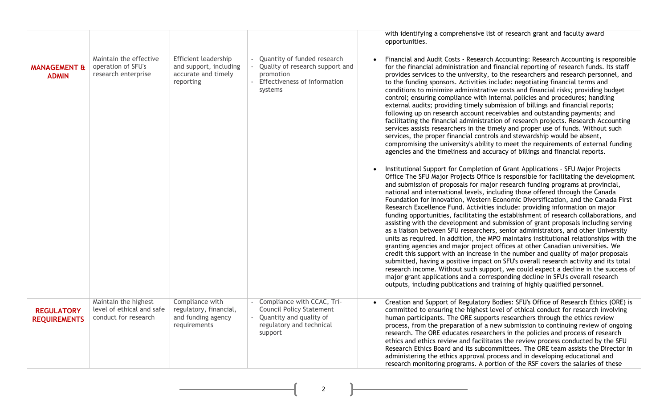|                                          |                                                                           |                                                                                    |                                                                                                                                 | with identifying a comprehensive list of research grant and faculty award<br>opportunities.                                                                                                                                                                                                                                                                                                                                                                                                                                                                                                                                                                                                                                                                                                                                                                                                                                                                                                                                                                                                                                                                                                                                                                                                                                                                                                         |
|------------------------------------------|---------------------------------------------------------------------------|------------------------------------------------------------------------------------|---------------------------------------------------------------------------------------------------------------------------------|-----------------------------------------------------------------------------------------------------------------------------------------------------------------------------------------------------------------------------------------------------------------------------------------------------------------------------------------------------------------------------------------------------------------------------------------------------------------------------------------------------------------------------------------------------------------------------------------------------------------------------------------------------------------------------------------------------------------------------------------------------------------------------------------------------------------------------------------------------------------------------------------------------------------------------------------------------------------------------------------------------------------------------------------------------------------------------------------------------------------------------------------------------------------------------------------------------------------------------------------------------------------------------------------------------------------------------------------------------------------------------------------------------|
| <b>MANAGEMENT &amp;</b><br><b>ADMIN</b>  | Maintain the effective<br>operation of SFU's<br>research enterprise       | Efficient leadership<br>and support, including<br>accurate and timely<br>reporting | Quantity of funded research<br>Quality of research support and<br>promotion<br>Effectiveness of information<br>systems          | Financial and Audit Costs - Research Accounting: Research Accounting is responsible<br>for the financial administration and financial reporting of research funds. Its staff<br>provides services to the university, to the researchers and research personnel, and<br>to the funding sponsors. Activities include: negotiating financial terms and<br>conditions to minimize administrative costs and financial risks; providing budget<br>control; ensuring compliance with internal policies and procedures; handling<br>external audits; providing timely submission of billings and financial reports;<br>following up on research account receivables and outstanding payments; and<br>facilitating the financial administration of research projects. Research Accounting<br>services assists researchers in the timely and proper use of funds. Without such<br>services, the proper financial controls and stewardship would be absent,<br>compromising the university's ability to meet the requirements of external funding<br>agencies and the timeliness and accuracy of billings and financial reports.                                                                                                                                                                                                                                                                               |
|                                          |                                                                           |                                                                                    |                                                                                                                                 | Institutional Support for Completion of Grant Applications - SFU Major Projects<br>Office The SFU Major Projects Office is responsible for facilitating the development<br>and submission of proposals for major research funding programs at provincial,<br>national and international levels, including those offered through the Canada<br>Foundation for Innovation, Western Economic Diversification, and the Canada First<br>Research Excellence Fund. Activities include: providing information on major<br>funding opportunities, facilitating the establishment of research collaborations, and<br>assisting with the development and submission of grant proposals including serving<br>as a liaison between SFU researchers, senior administrators, and other University<br>units as required. In addition, the MPO maintains institutional relationships with the<br>granting agencies and major project offices at other Canadian universities. We<br>credit this support with an increase in the number and quality of major proposals<br>submitted, having a positive impact on SFU's overall research activity and its total<br>research income. Without such support, we could expect a decline in the success of<br>major grant applications and a corresponding decline in SFU's overall research<br>outputs, including publications and training of highly qualified personnel. |
| <b>REGULATORY</b><br><b>REQUIREMENTS</b> | Maintain the highest<br>level of ethical and safe<br>conduct for research | Compliance with<br>regulatory, financial,<br>and funding agency<br>requirements    | Compliance with CCAC, Tri-<br><b>Council Policy Statement</b><br>Quantity and quality of<br>regulatory and technical<br>support | Creation and Support of Regulatory Bodies: SFU's Office of Research Ethics (ORE) is<br>$\bullet$<br>committed to ensuring the highest level of ethical conduct for research involving<br>human participants. The ORE supports researchers through the ethics review<br>process, from the preparation of a new submission to continuing review of ongoing<br>research. The ORE educates researchers in the policies and process of research<br>ethics and ethics review and facilitates the review process conducted by the SFU<br>Research Ethics Board and its subcommittees. The ORE team assists the Director in<br>administering the ethics approval process and in developing educational and<br>research monitoring programs. A portion of the RSF covers the salaries of these                                                                                                                                                                                                                                                                                                                                                                                                                                                                                                                                                                                                               |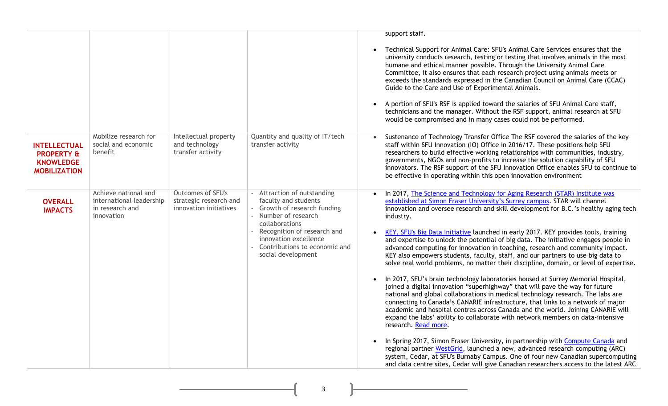|                                                                                         |                                                                                   |                                                                              |                                                                                                                                                                                                                                                | support staff.<br>Technical Support for Animal Care: SFU's Animal Care Services ensures that the<br>university conducts research, testing or testing that involves animals in the most<br>humane and ethical manner possible. Through the University Animal Care<br>Committee, it also ensures that each research project using animals meets or<br>exceeds the standards expressed in the Canadian Council on Animal Care (CCAC)<br>Guide to the Care and Use of Experimental Animals.                                                                                                                                                                                                                                                                                                                                                                                                                                                                                                                                                                                                                                                                                                                                                                                                                                                                                                                                                                                                                                                                                                                                |
|-----------------------------------------------------------------------------------------|-----------------------------------------------------------------------------------|------------------------------------------------------------------------------|------------------------------------------------------------------------------------------------------------------------------------------------------------------------------------------------------------------------------------------------|------------------------------------------------------------------------------------------------------------------------------------------------------------------------------------------------------------------------------------------------------------------------------------------------------------------------------------------------------------------------------------------------------------------------------------------------------------------------------------------------------------------------------------------------------------------------------------------------------------------------------------------------------------------------------------------------------------------------------------------------------------------------------------------------------------------------------------------------------------------------------------------------------------------------------------------------------------------------------------------------------------------------------------------------------------------------------------------------------------------------------------------------------------------------------------------------------------------------------------------------------------------------------------------------------------------------------------------------------------------------------------------------------------------------------------------------------------------------------------------------------------------------------------------------------------------------------------------------------------------------|
|                                                                                         |                                                                                   |                                                                              |                                                                                                                                                                                                                                                | A portion of SFU's RSF is applied toward the salaries of SFU Animal Care staff,<br>technicians and the manager. Without the RSF support, animal research at SFU<br>would be compromised and in many cases could not be performed.                                                                                                                                                                                                                                                                                                                                                                                                                                                                                                                                                                                                                                                                                                                                                                                                                                                                                                                                                                                                                                                                                                                                                                                                                                                                                                                                                                                      |
| <b>INTELLECTUAL</b><br><b>PROPERTY &amp;</b><br><b>KNOWLEDGE</b><br><b>MOBILIZATION</b> | Mobilize research for<br>social and economic<br>benefit                           | Intellectual property<br>and technology<br>transfer activity                 | Quantity and quality of IT/tech<br>transfer activity                                                                                                                                                                                           | Sustenance of Technology Transfer Office The RSF covered the salaries of the key<br>staff within SFU Innovation (IO) Office in 2016/17. These positions help SFU<br>researchers to build effective working relationships with communities, industry,<br>governments, NGOs and non-profits to increase the solution capability of SFU<br>innovators. The RSF support of the SFU Innovation Office enables SFU to continue to<br>be effective in operating within this open innovation environment                                                                                                                                                                                                                                                                                                                                                                                                                                                                                                                                                                                                                                                                                                                                                                                                                                                                                                                                                                                                                                                                                                                       |
| <b>OVERALL</b><br><b>IMPACTS</b>                                                        | Achieve national and<br>international leadership<br>in research and<br>innovation | <b>Outcomes of SFU's</b><br>strategic research and<br>innovation initiatives | - Attraction of outstanding<br>faculty and students<br>- Growth of research funding<br>- Number of research<br>collaborations<br>- Recognition of research and<br>innovation excellence<br>Contributions to economic and<br>social development | In 2017, The Science and Technology for Aging Research (STAR) Institute was<br>established at Simon Fraser University's Surrey campus. STAR will channel<br>innovation and oversee research and skill development for B.C.'s healthy aging tech<br>industry.<br>KEY, SFU's Big Data Initiative launched in early 2017. KEY provides tools, training<br>and expertise to unlock the potential of big data. The initiative engages people in<br>advanced computing for innovation in teaching, research and community impact.<br>KEY also empowers students, faculty, staff, and our partners to use big data to<br>solve real world problems, no matter their discipline, domain, or level of expertise.<br>In 2017, SFU's brain technology laboratories housed at Surrey Memorial Hospital,<br>$\bullet$<br>joined a digital innovation "superhighway" that will pave the way for future<br>national and global collaborations in medical technology research. The labs are<br>connecting to Canada's CANARIE infrastructure, that links to a network of major<br>academic and hospital centres across Canada and the world. Joining CANARIE will<br>expand the labs' ability to collaborate with network members on data-intensive<br>research. Read more.<br>In Spring 2017, Simon Fraser University, in partnership with Compute Canada and<br>$\bullet$<br>regional partner WestGrid, launched a new, advanced research computing (ARC)<br>system, Cedar, at SFU's Burnaby Campus. One of four new Canadian supercomputing<br>and data centre sites, Cedar will give Canadian researchers access to the latest ARC |

3

U